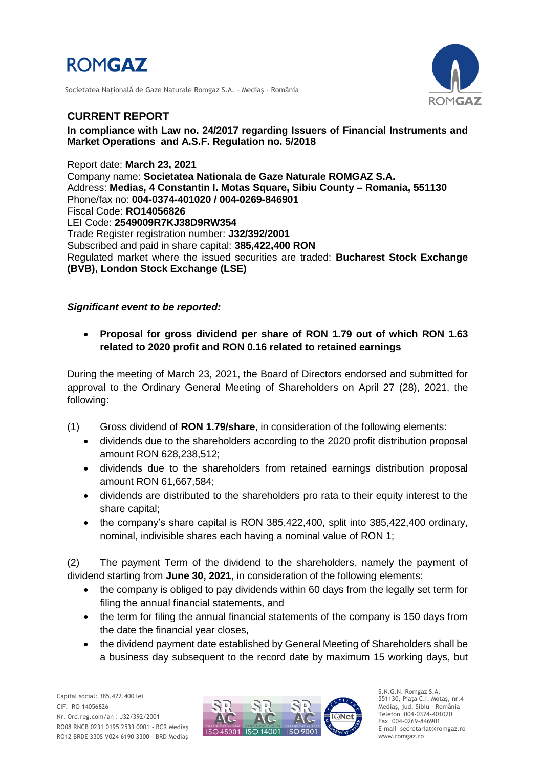

Societatea Naţională de Gaze Naturale Romgaz S.A. – Mediaş - România



## **CURRENT REPORT**

## **In compliance with Law no. 24/2017 regarding Issuers of Financial Instruments and Market Operations and A.S.F. Regulation no. 5/2018**

Report date: **March 23, 2021** Company name: **Societatea Nationala de Gaze Naturale ROMGAZ S.A.** Address: **Medias, 4 Constantin I. Motas Square, Sibiu County – Romania, 551130** Phone/fax no: **004-0374-401020 / 004-0269-846901** Fiscal Code: **RO14056826** LEI Code: **2549009R7KJ38D9RW354** Trade Register registration number: **J32/392/2001** Subscribed and paid in share capital: **385,422,400 RON** Regulated market where the issued securities are traded: **Bucharest Stock Exchange (BVB), London Stock Exchange (LSE)**

## *Significant event to be reported:*

 **Proposal for gross dividend per share of RON 1.79 out of which RON 1.63 related to 2020 profit and RON 0.16 related to retained earnings** 

During the meeting of March 23, 2021, the Board of Directors endorsed and submitted for approval to the Ordinary General Meeting of Shareholders on April 27 (28), 2021, the following:

- (1) Gross dividend of **RON 1.79/share**, in consideration of the following elements:
	- dividends due to the shareholders according to the 2020 profit distribution proposal amount RON 628,238,512;
	- dividends due to the shareholders from retained earnings distribution proposal amount RON 61,667,584;
	- dividends are distributed to the shareholders pro rata to their equity interest to the share capital;
	- the company's share capital is RON 385,422,400, split into 385,422,400 ordinary, nominal, indivisible shares each having a nominal value of RON 1;

(2) The payment Term of the dividend to the shareholders, namely the payment of dividend starting from **June 30, 2021**, in consideration of the following elements:

- the company is obliged to pay dividends within 60 days from the legally set term for filing the annual financial statements, and
- the term for filing the annual financial statements of the company is 150 days from the date the financial year closes,
- the dividend payment date established by General Meeting of Shareholders shall be a business day subsequent to the record date by maximum 15 working days, but



S.N.G.N. Romgaz S.A. 551130, Piața C.I. Motaş, nr.4 Mediaş, jud. Sibiu - România Telefon 004-0374-401020 Fax 004-0269-846901 E-mail secretariat@romgaz.ro www.romgaz.ro